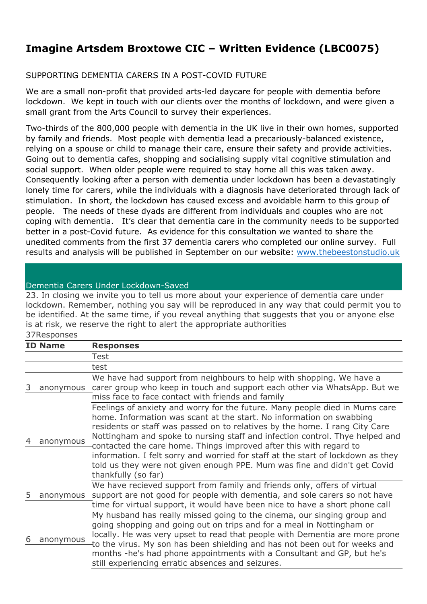## **Imagine Artsdem Broxtowe CIC – Written Evidence (LBC0075)**

## SUPPORTING DEMENTIA CARERS IN A POST-COVID FUTURE

We are a small non-profit that provided arts-led daycare for people with dementia before lockdown. We kept in touch with our clients over the months of lockdown, and were given a small grant from the Arts Council to survey their experiences.

Two-thirds of the 800,000 people with dementia in the UK live in their own homes, supported by family and friends. Most people with dementia lead a precariously-balanced existence, relying on a spouse or child to manage their care, ensure their safety and provide activities. Going out to dementia cafes, shopping and socialising supply vital cognitive stimulation and social support. When older people were required to stay home all this was taken away. Consequently looking after a person with dementia under lockdown has been a devastatingly lonely time for carers, while the individuals with a diagnosis have deteriorated through lack of stimulation. In short, the lockdown has caused excess and avoidable harm to this group of people. The needs of these dyads are different from individuals and couples who are not coping with dementia. It's clear that dementia care in the community needs to be supported better in a post-Covid future. As evidence for this consultation we wanted to share the unedited comments from the first 37 dementia carers who completed our online survey. Full results and analysis will be published in September on our website: [www.thebeestonstudio.uk](http://www.thebeestonstudio.uk/)

## Dementia Carers Under Lockdown-Saved

23. In closing we invite you to tell us more about your experience of dementia care under lockdown. Remember, nothing you say will be reproduced in any way that could permit you to be identified. At the same time, if you reveal anything that suggests that you or anyone else is at risk, we reserve the right to alert the appropriate authorities

## 37Responses **ID Name Responses** Test test 3 anonymous carer group who keep in touch and support each other via WhatsApp. But we We have had support from neighbours to help with shopping. We have a miss face to face contact with friends and family 4 anonymous Feelings of anxiety and worry for the future. Many people died in Mums care home. Information was scant at the start. No information on swabbing residents or staff was passed on to relatives by the home. I rang City Care Nottingham and spoke to nursing staff and infection control. Thye helped and contacted the care home. Things improved after this with regard to information. I felt sorry and worried for staff at the start of lockdown as they told us they were not given enough PPE. Mum was fine and didn't get Covid thankfully (so far) 5 anonymous support are not good for people with dementia, and sole carers so not have We have recieved support from family and friends only, offers of virtual time for virtual support, it would have been nice to have a short phone call 6 anonymous My husband has really missed going to the cinema, our singing group and going shopping and going out on trips and for a meal in Nottingham or locally. He was very upset to read that people with Dementia are more prone to the virus. My son has been shielding and has not been out for weeks and months -he's had phone appointments with a Consultant and GP, but he's still experiencing erratic absences and seizures.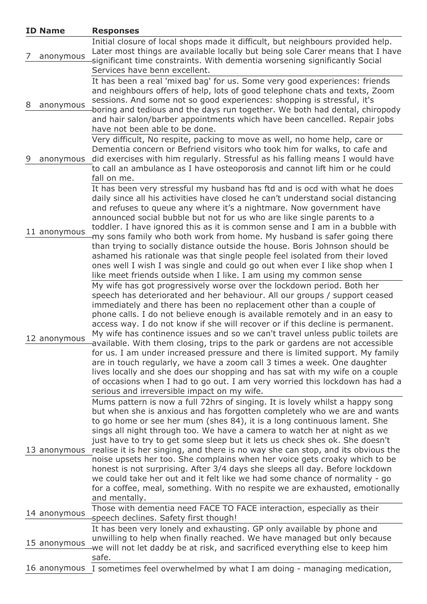| <b>ID Name</b> | <b>Responses</b>                                                                                                                                                                                                                                                                                                                                                                                                                                                                                                                                                                                                                                                                                                                                                                                                                                                                                                                              |
|----------------|-----------------------------------------------------------------------------------------------------------------------------------------------------------------------------------------------------------------------------------------------------------------------------------------------------------------------------------------------------------------------------------------------------------------------------------------------------------------------------------------------------------------------------------------------------------------------------------------------------------------------------------------------------------------------------------------------------------------------------------------------------------------------------------------------------------------------------------------------------------------------------------------------------------------------------------------------|
| anonymous      | Initial closure of local shops made it difficult, but neighbours provided help.<br>Later most things are available locally but being sole Carer means that I have<br>significant time constraints. With dementia worsening significantly Social<br>Services have benn excellent.                                                                                                                                                                                                                                                                                                                                                                                                                                                                                                                                                                                                                                                              |
| 8<br>anonymous | It has been a real 'mixed bag' for us. Some very good experiences: friends<br>and neighbours offers of help, lots of good telephone chats and texts, Zoom<br>sessions. And some not so good experiences: shopping is stressful, it's<br>boring and tedious and the days run together. We both had dental, chiropody<br>and hair salon/barber appointments which have been cancelled. Repair jobs<br>have not been able to be done.                                                                                                                                                                                                                                                                                                                                                                                                                                                                                                            |
| 9<br>anonymous | Very difficult, No respite, packing to move as well, no home help, care or<br>Dementia concern or Befriend visitors who took him for walks, to cafe and<br>did exercises with him regularly. Stressful as his falling means I would have<br>to call an ambulance as I have osteoporosis and cannot lift him or he could<br>fall on me.                                                                                                                                                                                                                                                                                                                                                                                                                                                                                                                                                                                                        |
| 11 anonymous   | It has been very stressful my husband has ftd and is ocd with what he does<br>daily since all his activities have closed he can't understand social distancing<br>and refuses to queue any where it's a nightmare. Now government have<br>announced social bubble but not for us who are like single parents to a<br>toddler. I have ignored this as it is common sense and I am in a bubble with<br>my sons family who both work from home. My husband is safer going there<br>than trying to socially distance outside the house. Boris Johnson should be<br>ashamed his rationale was that single people feel isolated from their loved<br>ones well I wish I was single and could go out when ever I like shop when I<br>like meet friends outside when I like. I am using my common sense                                                                                                                                                |
| 12 anonymous   | My wife has got progressively worse over the lockdown period. Both her<br>speech has deteriorated and her behaviour. All our groups / support ceased<br>immediately and there has been no replacement other than a couple of<br>phone calls. I do not believe enough is available remotely and in an easy to<br>access way. I do not know if she will recover or if this decline is permanent.<br>My wife has continence issues and so we can't travel unless public toilets are<br>available. With them closing, trips to the park or gardens are not accessible<br>for us. I am under increased pressure and there is limited support. My family<br>are in touch regularly, we have a zoom call 3 times a week. One daughter<br>lives locally and she does our shopping and has sat with my wife on a couple<br>of occasions when I had to go out. I am very worried this lockdown has had a<br>serious and irreversible impact on my wife. |
| 13 anonymous   | Mums pattern is now a full 72hrs of singing. It is lovely whilst a happy song<br>but when she is anxious and has forgotten completely who we are and wants<br>to go home or see her mum (shes 84), it is a long continuous lament. She<br>sings all night through too. We have a camera to watch her at night as we<br>just have to try to get some sleep but it lets us check shes ok. She doesn't<br>realise it is her singing, and there is no way she can stop, and its obvious the<br>noise upsets her too. She complains when her voice gets croaky which to be<br>honest is not surprising. After 3/4 days she sleeps all day. Before lockdown<br>we could take her out and it felt like we had some chance of normality - go<br>for a coffee, meal, something. With no respite we are exhausted, emotionally<br>and mentally.                                                                                                         |
| 14 anonymous   | Those with dementia need FACE TO FACE interaction, especially as their<br>speech declines. Safety first though!                                                                                                                                                                                                                                                                                                                                                                                                                                                                                                                                                                                                                                                                                                                                                                                                                               |
| 15 anonymous   | It has been very lonely and exhausting. GP only available by phone and<br>unwilling to help when finally reached. We have managed but only because<br>we will not let daddy be at risk, and sacrificed everything else to keep him<br>safe.                                                                                                                                                                                                                                                                                                                                                                                                                                                                                                                                                                                                                                                                                                   |
|                | 16 anonymous I sometimes feel overwhelmed by what I am doing - managing medication,                                                                                                                                                                                                                                                                                                                                                                                                                                                                                                                                                                                                                                                                                                                                                                                                                                                           |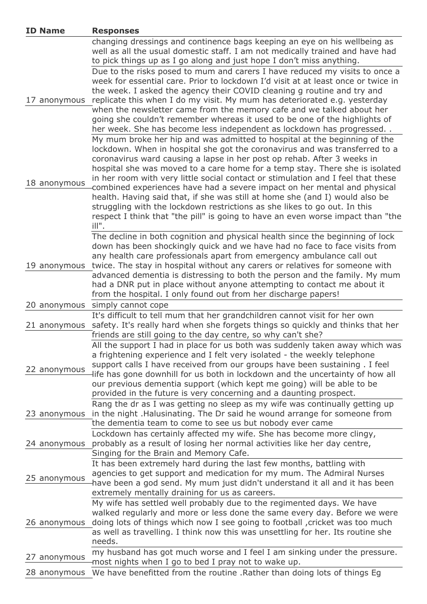| <b>ID Name</b> | <b>Responses</b>                                                                                                                                                                                                                                                                                                                                                                                                                                                                    |
|----------------|-------------------------------------------------------------------------------------------------------------------------------------------------------------------------------------------------------------------------------------------------------------------------------------------------------------------------------------------------------------------------------------------------------------------------------------------------------------------------------------|
|                | changing dressings and continence bags keeping an eye on his wellbeing as<br>well as all the usual domestic staff. I am not medically trained and have had<br>to pick things up as I go along and just hope I don't miss anything.                                                                                                                                                                                                                                                  |
|                | Due to the risks posed to mum and carers I have reduced my visits to once a                                                                                                                                                                                                                                                                                                                                                                                                         |
| 17 anonymous   | week for essential care. Prior to lockdown I'd visit at at least once or twice in<br>the week. I asked the agency their COVID cleaning g routine and try and<br>replicate this when I do my visit. My mum has deteriorated e.g. yesterday<br>when the newsletter came from the memory cafe and we talked about her<br>going she couldn't remember whereas it used to be one of the highlights of<br>her week. She has become less independent as lockdown has progressed            |
| 18 anonymous   | My mum broke her hip and was admitted to hospital at the beginning of the<br>lockdown. When in hospital she got the coronavirus and was transferred to a<br>coronavirus ward causing a lapse in her post op rehab. After 3 weeks in<br>hospital she was moved to a care home for a temp stay. There she is isolated<br>in her room with very little social contact or stimulation and I feel that these<br>combined experiences have had a severe impact on her mental and physical |
|                | health. Having said that, if she was still at home she (and I) would also be<br>struggling with the lockdown restrictions as she likes to go out. In this<br>respect I think that "the pill" is going to have an even worse impact than "the<br>ill".                                                                                                                                                                                                                               |
|                | The decline in both cognition and physical health since the beginning of lock<br>down has been shockingly quick and we have had no face to face visits from<br>any health care professionals apart from emergency ambulance call out                                                                                                                                                                                                                                                |
| 19 anonymous   | twice. The stay in hospital without any carers or relatives for someone with<br>advanced dementia is distressing to both the person and the family. My mum<br>had a DNR put in place without anyone attempting to contact me about it<br>from the hospital. I only found out from her discharge papers!                                                                                                                                                                             |
|                | 20 anonymous simply cannot cope                                                                                                                                                                                                                                                                                                                                                                                                                                                     |
| 21 anonymous   | It's difficult to tell mum that her grandchildren cannot visit for her own<br>safety. It's really hard when she forgets things so quickly and thinks that her<br>friends are still going to the day centre, so why can't she?                                                                                                                                                                                                                                                       |
| 22 anonymous   | All the support I had in place for us both was suddenly taken away which was<br>a frightening experience and I felt very isolated - the weekly telephone<br>support calls I have received from our groups have been sustaining. I feel<br>life has gone downhill for us both in lockdown and the uncertainty of how all<br>our previous dementia support (which kept me going) will be able to be<br>provided in the future is very concerning and a daunting prospect.             |
| 23 anonymous   | Rang the dr as I was getting no sleep as my wife was continually getting up<br>in the night .Halusinating. The Dr said he wound arrange for someone from<br>the dementia team to come to see us but nobody ever came                                                                                                                                                                                                                                                                |
| 24 anonymous   | Lockdown has certainly affected my wife. She has become more clingy,<br>probably as a result of losing her normal activities like her day centre,<br>Singing for the Brain and Memory Cafe.                                                                                                                                                                                                                                                                                         |
| 25 anonymous   | It has been extremely hard during the last few months, battling with<br>agencies to get support and medication for my mum. The Admiral Nurses<br>have been a god send. My mum just didn't understand it all and it has been<br>extremely mentally draining for us as careers.                                                                                                                                                                                                       |
| 26 anonymous   | My wife has settled well probably due to the regimented days. We have<br>walked regularly and more or less done the same every day. Before we were<br>doing lots of things which now I see going to football , cricket was too much<br>as well as travelling. I think now this was unsettling for her. Its routine she<br>needs.                                                                                                                                                    |
| 27 anonymous   | my husband has got much worse and I feel I am sinking under the pressure.<br>most nights when I go to bed I pray not to wake up.                                                                                                                                                                                                                                                                                                                                                    |
| 28 anonymous   | We have benefitted from the routine . Rather than doing lots of things Eg                                                                                                                                                                                                                                                                                                                                                                                                           |